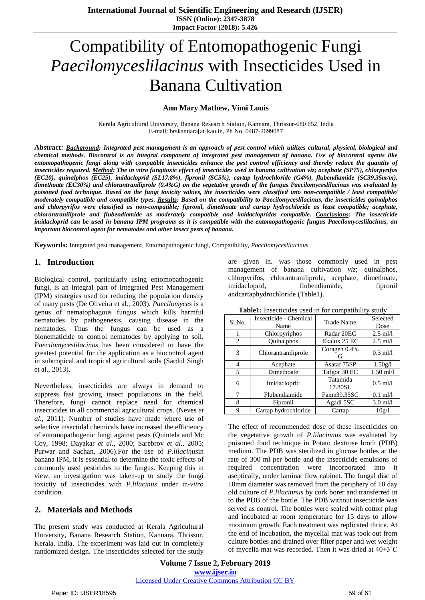# Compatibility of Entomopathogenic Fungi *Paecilomyceslilacinus* with Insecticides Used in Banana Cultivation

#### **Ann Mary Mathew, Vimi Louis**

Kerala Agricultural University, Banana Research Station, Kannara, Thrissur-680 652, India E-mail: brskannara[at]kau.in, Ph No. 0487-2699087

Abstract: Background: Integrated pest management is an approach of pest control which utilizes cultural, physical, biological and chemical methods. Biocontrol is an integral component of integrated pest management of banana. Use of biocontrol agents like entomopathogenic fungi along with compatible insecticides enhance the pest control efficiency and thereby reduce the quantity of insecticides required. Method: The in vitro fungitoxic effect of insecticides used in banana cultivation viz: acephate (SP75), chlorpyrifos *(EC20), quinalphos (EC25), imidacloprid (SL17.8%), fipronil (SC5%), cartap hydrochloride (G4%), flubendiamide (SC39.35m/m),* dimethoate (EC30%) and chlorantraniliprole  $(0.4\%G)$  on the vegetative growth of the fungus Paecilomyceslilacinus was evaluated by poisoned food technique. Based on the fungi toxicity values, the insecticides were classified into non-compatible / least compatible/ moderately compatible and compatible types. Results: Based on the compatibility to Paecilomyceslilacinus, the insecticides quinalphos and chlorpyrifos were classified as non-compatible; fipronil, dimethoate and cartap hydrochloride as least compatible; acephate, *chlorantraniliprole and flubendiamide as moderately compatible and imidaclopridas compatible. Conclusions: The insecticide* imidacloprid can be used in banana IPM programs as it is compatible with the entomopathogenic fungus Paecilomyceslilacinus, an *important biocontrol agent for nematodes and other insect pests of banana.*

**Keywords:** Integrated pest management, Entomopathogenic fungi, Compatibility, *Paecilomyceslilacinus*

#### **1. Introduction**

Biological control, particularly using entomopathogenic fungi, is an integral part of Integrated Pest Management (IPM) strategies used for reducing the population density of many pests (De Oliveira et al., 2003). *Paecilomyces* is a genus of nematophagous fungus which kills harmful nematodes by pathogenesis, causing disease in the nematodes. Thus the fungus can be used as a bionematicide to control nematodes by applying to soil. *Paecilomyceslilacinus* has been considered to have the greatest potential for the application as a biocontrol agent in subtropical and tropical agricultural soils (Sardul Singh et al., 2013).

Nevertheless, insecticides are always in demand to suppress fast growing insect populations in the field. Therefore, fungi cannot replace need for chemical insecticides in all commercial agricultural crops. (Neves *et al.*, 2011). Number of studies have made where use of selective insectidal chemicals have increased the efficiency of entomopathogenic fungi against pests (Quintela and Mc Coy, 1998; Dayakar *et al.*, 2000; Sarebrov *et al.*, 2005; Purwar and Sachan, 2006).For the use of *P*.*lilacinus*in banana IPM, it is essential to determine the toxic effects of commonly used pesticides to the fungus. Keeping this in view, an investigation was taken-up to study the fungi toxicity of insecticides with *P.lilacinus* under in*-vitro* condition.

#### **2. Materials and Methods**

The present study was conducted at Kerala Agricultural University, Banana Research Station, Kannara, Thrissur, Kerala, India. The experiment was laid out in completely randomized design. The insecticides selected for the study are given in. was those commonly used in pest management of banana cultivation *viz*; quinalphos, chlorpyrifos, chlorantraniliprole, acephate, dimethoate, imidacloprid, flubendiamide, fipronil andcartaphydrochloride (Table1).

| <b>Tublet,</b> insecutively used in for compatibility<br>staa y |                                |                     |                  |  |
|-----------------------------------------------------------------|--------------------------------|---------------------|------------------|--|
| Sl.No.                                                          | Insecticide - Chemical<br>Name | <b>Trade Name</b>   | Selected<br>Dose |  |
| 1                                                               | Chlorpyriphos                  | Radar 20EC          | $2.5$ ml/l       |  |
| 2                                                               | Quinalphos                     | Ekalux 25 EC        | $2.5$ ml/l       |  |
| 3                                                               | Chlorantraniliprole            | Coragen 0.4%<br>G   | $0.3$ ml/l       |  |
| 4                                                               | Acephate                       | Asataf 75SP         | 1.50g/l          |  |
| 5                                                               | Dimethoate                     | Tafgor 30 EC        | $1.50$ ml/l      |  |
| 6                                                               | Imidacloprid                   | Tatamida<br>17.80SL | $0.5$ ml/l       |  |
| 7                                                               | Flubendiamide                  | Fame39.35SC         | $0.1$ ml/l       |  |
| 8                                                               | Fipronil                       | Agadi 5SC           | $3.0$ ml/l       |  |
| 9                                                               | Cartap hydrochloride           | Cartap              | 10g/l            |  |

**Table1:** Insecticides used in for compatibility study

The effect of recommended dose of these insecticides on the vegetative growth of *P.lilacinnus* was evaluated by poisoned food technique in Potato dextrose broth (PDB) medium. The PDB was sterilized in glucose bottles at the rate of 300 ml per bottle and the insecticide emulsions of required concentration were incorporated into it aseptically, under laminar flow cabinet. The fungal disc of 10mm diameter was removed from the periphery of 10 day old culture of *P.lilacinnus* by cork borer and transferred in to the PDB of the bottle. The PDB without insecticide was served as control. The bottles were sealed with cotton plug and incubated at room temperature for 15 days to allow maximum growth. Each treatment was replicated thrice. At the end of incubation, the mycelial mat was took out from culture bottles and drained over filter paper and wet weight of mycelia mat was recorded. Then it was dried at 40±3˚C

**Volume 7 Issue 2, February 2019 www.ijser.in** Licensed Under Creative Commons Attribution CC BY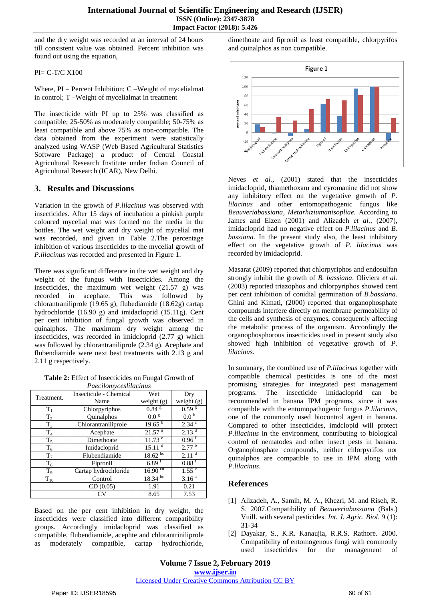and the dry weight was recorded at an interval of 24 hours till consistent value was obtained. Percent inhibition was found out using the equation,

PI= C-T/C X100

Where, PI – Percent Inhibition; C –Weight of mycelialmat in control; T –Weight of mycelialmat in treatment

The insecticide with PI up to 25% was classified as compatible; 25-50% as moderately compatible; 50-75% as least compatible and above 75% as non-compatible. The data obtained from the experiment were statistically analyzed using WASP (Web Based Agricultural Statistics Software Package) a product of Central Coastal Agricultural Research Institute under Indian Council of Agricultural Research (ICAR), New Delhi.

### **3. Results and Discussions**

Variation in the growth of *P.lilacinus* was observed with insecticides. After 15 days of incubation a pinkish purple coloured mycelial mat was formed on the media in the bottles. The wet weight and dry weight of mycelial mat was recorded, and given in Table 2.The percentage inhibition of various insecticides to the mycelial growth of *P.lilacinus* was recorded and presented in Figure 1.

There was significant difference in the wet weight and dry weight of the fungus with insecticides. Among the insecticides, the maximum wet weight (21.57 g) was recorded in acephate. This was followed by chlorantraniliprole (19.65 g), flubediamide (18.62g) cartap hydrochloride (16.90 g) and imidacloprid (15.11g). Cent per cent inhibition of fungal growth was observed in quinalphos. The maximum dry weight among the insecticides, was recorded in imidcloprid (2.77 g) which was followed by chlorantraniliprole (2.34 g). Acephate and flubendiamide were next best treatments with 2.13 g and 2.11 g respectively.

**Table 2:** Effect of Insecticides on Fungal Growth of *Paecilomyceslilacinus*

| <i>i</i> accusariyecomacumo |                        |                       |                     |  |
|-----------------------------|------------------------|-----------------------|---------------------|--|
| Treatment.                  | Insecticide - Chemical | Wet                   | Dry                 |  |
|                             | Name                   | weight $(g)$          | weight $(g)$        |  |
| $T_1$                       | Chlorpyriphos          | $0.84$ $\rm{s}$       | 0.59 <sup>g</sup>   |  |
| $T_2$                       | Quinalphos             | 0.0 <sup>g</sup>      | 0.0 <sup>T</sup>    |  |
| $T_3$                       | Chlorantraniliprole    | 19.65 <sup>b</sup>    | 2.34 °              |  |
| $T_4$                       | Acephate               | $21.57$ <sup>a</sup>  | 2.13 <sup>d</sup>   |  |
| $T_5$                       | Dimethoate             | $11.73$ <sup>e</sup>  | $0.96$ <sup>f</sup> |  |
| $T_6$                       | Imidacloprid           | 15.11 <sup>d</sup>    | $2.77^{b}$          |  |
| $T_7$                       | Flubendiamide          | $18.62 \text{ pc}$    | $2.11$ <sup>d</sup> |  |
| $T_8$                       | Fipronil               | $6.89$ <sup>f</sup>   | $0.88$ <sup>f</sup> |  |
| T <sub>9</sub>              | Cartap hydrochloride   | $16.90$ <sup>cd</sup> | 1.55 <sup>e</sup>   |  |
| $T_{10}$                    | Control                | $18.34 \text{ pc}$    | $3.16^{a}$          |  |
|                             | CD(0.05)               | 1.91                  | 0.21                |  |
|                             |                        | 8.65                  | 7.53                |  |

Based on the per cent inhibition in dry weight, the insecticides were classified into different compatibility groups. Accordingly imidacloprid was classified as compatible, flubendiamide, acephte and chlorantriniliprole as moderately compatible, cartap hydrochloride, dimethoate and fipronil as least compatible, chlorpyrifos and quinalphos as non compatible.



Neves *et al.*, (2001) stated that the insecticides imidacloprid, thiamethoxam and cyromanine did not show any inhibitory effect on the vegetative growth of *P. lilacinus* and other entomopathogenic fungus like *Beauveriabassiana, Metarhiziumanisopliae.* According to James and Elzen (2001) and Alizadeh *et al.*, (2007), imidacloprid had no negative effect on *P.lilacinus* and *B. bassiana.* In the present study also, the least inhibitory effect on the vegetative growth of *P. lilacinus* was recorded by imidacloprid.

Masarat (2009) reported that chlorpyriphos and endosulfan strongly inhibit the growth of *B. bassiana*. Oliviera *et al.* (2003) reported triazophos and chlorpyriphos showed cent per cent inhibition of conidial germination of *B.bassiana*. Ghini and Kimati, (2000) reported that organophosphate compounds interfere directly on membrane permeability of the cells and synthesis of enzymes, consequently affecting the metabolic process of the organism. Accordingly the organophosphorous insecticides used in present study also showed high inhibition of vegetative growth of *P. lilacinus*.

In summary, the combined use of *P.lilacinus* together with compatible chemical pesticides is one of the most promising strategies for integrated pest management programs. The insecticide imidacloprid can be recommended in banana IPM programs, since it was compatible with the entomopathogenic fungus *P.lilacinus,*  one of the commonly used biocontrol agent in banana. Compared to other insecticides, imdclopid will protect *P.lilacinus* in the environment, contributing to biological control of nematodes and other insect pests in banana. Organophosphate compounds, neither chlorpyrifos nor quinalphos are compatible to use in IPM along with *P.lilacinus*.

## **References**

- [1] Alizadeh, A., Samih, M. A., Khezri, M. and Riseh, R. S. 2007.Compatibility of *Beauveriabassiana* (Bals.) Vuill. with several pesticides. *Int. J. Agric. Biol*. 9 (1): 31-34
- [2] Dayakar, S., K.R. Kanaujia, R.R.S. Rathore. 2000. Compatibility of entomogenous fungi with commonly used insecticides for the management of